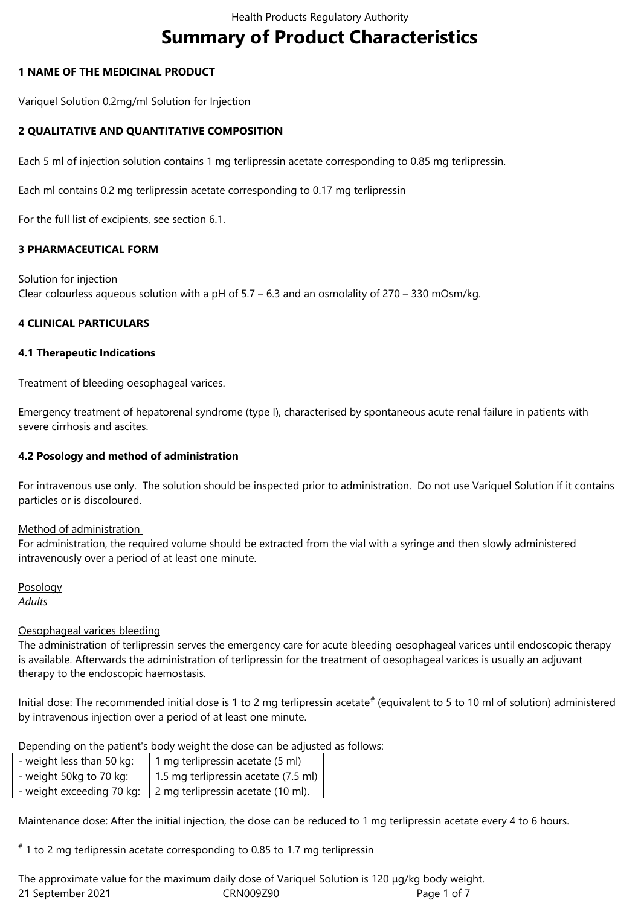# **Summary of Product Characteristics**

# **1 NAME OF THE MEDICINAL PRODUCT**

Variquel Solution 0.2mg/ml Solution for Injection

# **2 QUALITATIVE AND QUANTITATIVE COMPOSITION**

Each 5 ml of injection solution contains 1 mg terlipressin acetate corresponding to 0.85 mg terlipressin.

Each ml contains 0.2 mg terlipressin acetate corresponding to 0.17 mg terlipressin

For the full list of excipients, see section 6.1.

## **3 PHARMACEUTICAL FORM**

Solution for injection Clear colourless aqueous solution with a pH of 5.7 – 6.3 and an osmolality of 270 – 330 mOsm/kg.

# **4 CLINICAL PARTICULARS**

## **4.1 Therapeutic Indications**

Treatment of bleeding oesophageal varices.

Emergency treatment of hepatorenal syndrome (type I), characterised by spontaneous acute renal failure in patients with severe cirrhosis and ascites.

# **4.2 Posology and method of administration**

For intravenous use only. The solution should be inspected prior to administration. Do not use Variquel Solution if it contains particles or is discoloured.

## Method of administration

For administration, the required volume should be extracted from the vial with a syringe and then slowly administered intravenously over a period of at least one minute.

Posology *Adults*

## Oesophageal varices bleeding

The administration of terlipressin serves the emergency care for acute bleeding oesophageal varices until endoscopic therapy is available. Afterwards the administration of terlipressin for the treatment of oesophageal varices is usually an adjuvant therapy to the endoscopic haemostasis.

Initial dose: The recommended initial dose is 1 to 2 mg terlipressin acetate<sup>#</sup> (equivalent to 5 to 10 ml of solution) administered by intravenous injection over a period of at least one minute.

Depending on the patient's body weight the dose can be adjusted as follows:

| - weight less than 50 kg: | 1 mg terlipressin acetate (5 ml)                               |
|---------------------------|----------------------------------------------------------------|
| - weight 50kg to 70 kg:   | 1.5 mg terlipressin acetate (7.5 ml)                           |
|                           | - weight exceeding 70 kg:   2 mg terlipressin acetate (10 ml). |

Maintenance dose: After the initial injection, the dose can be reduced to 1 mg terlipressin acetate every 4 to 6 hours.

 $^{\text{\#}}$  1 to 2 mg terlipressin acetate corresponding to 0.85 to 1.7 mg terlipressin

21 September 2021 CRN009Z90 Page 1 of 7 The approximate value for the maximum daily dose of Variquel Solution is 120 μg/kg body weight.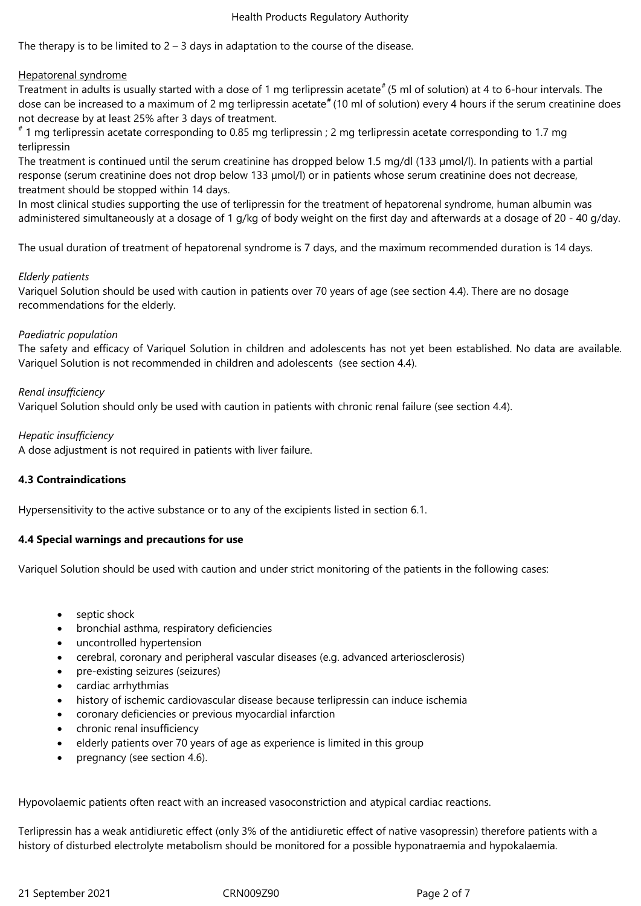The therapy is to be limited to  $2 - 3$  days in adaptation to the course of the disease.

## Hepatorenal syndrome

Treatment in adults is usually started with a dose of 1 mg terlipressin acetate<sup>#</sup> (5 ml of solution) at 4 to 6-hour intervals. The dose can be increased to a maximum of 2 mg terlipressin acetate<sup>#</sup> (10 ml of solution) every 4 hours if the serum creatinine does not decrease by at least 25% after 3 days of treatment.

# 1 mg terlipressin acetate corresponding to 0.85 mg terlipressin ; 2 mg terlipressin acetate corresponding to 1.7 mg terlipressin

The treatment is continued until the serum creatinine has dropped below 1.5 mg/dl (133 µmol/l). In patients with a partial response (serum creatinine does not drop below 133 µmol/l) or in patients whose serum creatinine does not decrease, treatment should be stopped within 14 days.

In most clinical studies supporting the use of terlipressin for the treatment of hepatorenal syndrome, human albumin was administered simultaneously at a dosage of 1 g/kg of body weight on the first day and afterwards at a dosage of 20 - 40 g/day.

The usual duration of treatment of hepatorenal syndrome is 7 days, and the maximum recommended duration is 14 days.

## *Elderly patients*

Variquel Solution should be used with caution in patients over 70 years of age (see section 4.4). There are no dosage recommendations for the elderly.

# *Paediatric population*

The safety and efficacy of Variquel Solution in children and adolescents has not yet been established. No data are available. Variquel Solution is not recommended in children and adolescents (see section 4.4).

# *Renal insufficiency*

Variquel Solution should only be used with caution in patients with chronic renal failure (see section 4.4).

## *Hepatic insufficiency*

A dose adjustment is not required in patients with liver failure.

# **4.3 Contraindications**

Hypersensitivity to the active substance or to any of the excipients listed in section 6.1.

## **4.4 Special warnings and precautions for use**

Variquel Solution should be used with caution and under strict monitoring of the patients in the following cases:

- septic shock
- bronchial asthma, respiratory deficiencies
- uncontrolled hypertension
- cerebral, coronary and peripheral vascular diseases (e.g. advanced arteriosclerosis)
- pre-existing seizures (seizures)
- cardiac arrhythmias
- history of ischemic cardiovascular disease because terlipressin can induce ischemia
- coronary deficiencies or previous myocardial infarction
- chronic renal insufficiency
- elderly patients over 70 years of age as experience is limited in this group
- pregnancy (see section 4.6).

Hypovolaemic patients often react with an increased vasoconstriction and atypical cardiac reactions.

Terlipressin has a weak antidiuretic effect (only 3% of the antidiuretic effect of native vasopressin) therefore patients with a history of disturbed electrolyte metabolism should be monitored for a possible hyponatraemia and hypokalaemia.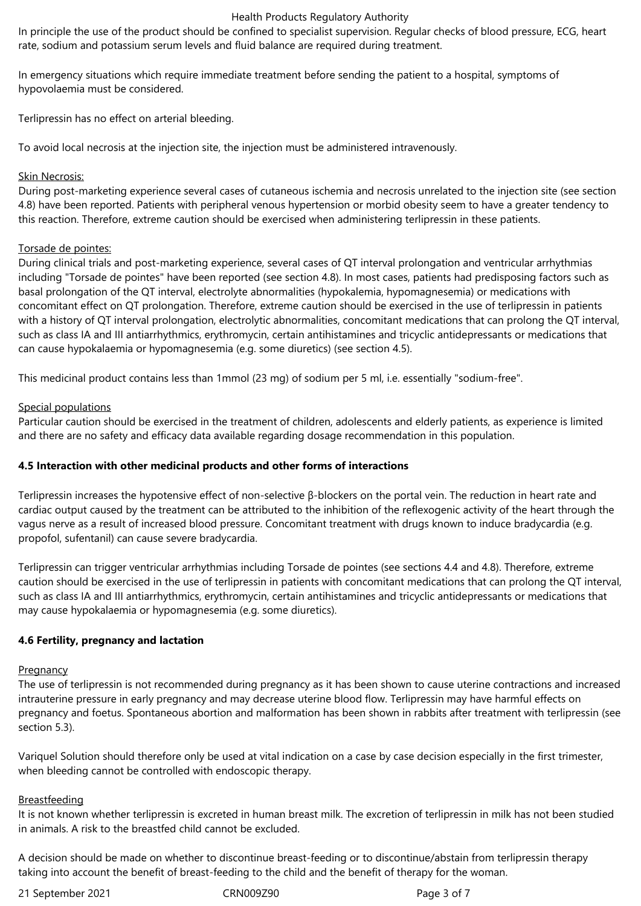In principle the use of the product should be confined to specialist supervision. Regular checks of blood pressure, ECG, heart rate, sodium and potassium serum levels and fluid balance are required during treatment.

In emergency situations which require immediate treatment before sending the patient to a hospital, symptoms of hypovolaemia must be considered.

Terlipressin has no effect on arterial bleeding.

To avoid local necrosis at the injection site, the injection must be administered intravenously.

# Skin Necrosis:

During post-marketing experience several cases of cutaneous ischemia and necrosis unrelated to the injection site (see section 4.8) have been reported. Patients with peripheral venous hypertension or morbid obesity seem to have a greater tendency to this reaction. Therefore, extreme caution should be exercised when administering terlipressin in these patients.

# Torsade de pointes:

During clinical trials and post-marketing experience, several cases of QT interval prolongation and ventricular arrhythmias including "Torsade de pointes" have been reported (see section 4.8). In most cases, patients had predisposing factors such as basal prolongation of the QT interval, electrolyte abnormalities (hypokalemia, hypomagnesemia) or medications with concomitant effect on QT prolongation. Therefore, extreme caution should be exercised in the use of terlipressin in patients with a history of QT interval prolongation, electrolytic abnormalities, concomitant medications that can prolong the QT interval, such as class IA and III antiarrhythmics, erythromycin, certain antihistamines and tricyclic antidepressants or medications that can cause hypokalaemia or hypomagnesemia (e.g. some diuretics) (see section 4.5).

This medicinal product contains less than 1mmol (23 mg) of sodium per 5 ml, i.e. essentially "sodium-free".

# Special populations

Particular caution should be exercised in the treatment of children, adolescents and elderly patients, as experience is limited and there are no safety and efficacy data available regarding dosage recommendation in this population.

# **4.5 Interaction with other medicinal products and other forms of interactions**

Terlipressin increases the hypotensive effect of non-selective β-blockers on the portal vein. The reduction in heart rate and cardiac output caused by the treatment can be attributed to the inhibition of the reflexogenic activity of the heart through the vagus nerve as a result of increased blood pressure. Concomitant treatment with drugs known to induce bradycardia (e.g. propofol, sufentanil) can cause severe bradycardia.

Terlipressin can trigger ventricular arrhythmias including Torsade de pointes (see sections 4.4 and 4.8). Therefore, extreme caution should be exercised in the use of terlipressin in patients with concomitant medications that can prolong the QT interval, such as class IA and III antiarrhythmics, erythromycin, certain antihistamines and tricyclic antidepressants or medications that may cause hypokalaemia or hypomagnesemia (e.g. some diuretics).

# **4.6 Fertility, pregnancy and lactation**

## **Pregnancy**

The use of terlipressin is not recommended during pregnancy as it has been shown to cause uterine contractions and increased intrauterine pressure in early pregnancy and may decrease uterine blood flow. Terlipressin may have harmful effects on pregnancy and foetus. Spontaneous abortion and malformation has been shown in rabbits after treatment with terlipressin (see section 5.3).

Variquel Solution should therefore only be used at vital indication on a case by case decision especially in the first trimester, when bleeding cannot be controlled with endoscopic therapy.

## Breastfeeding

It is not known whether terlipressin is excreted in human breast milk. The excretion of terlipressin in milk has not been studied in animals. A risk to the breastfed child cannot be excluded.

A decision should be made on whether to discontinue breast-feeding or to discontinue/abstain from terlipressin therapy taking into account the benefit of breast-feeding to the child and the benefit of therapy for the woman.

21 September 2021 CRN009Z90 Page 3 of 7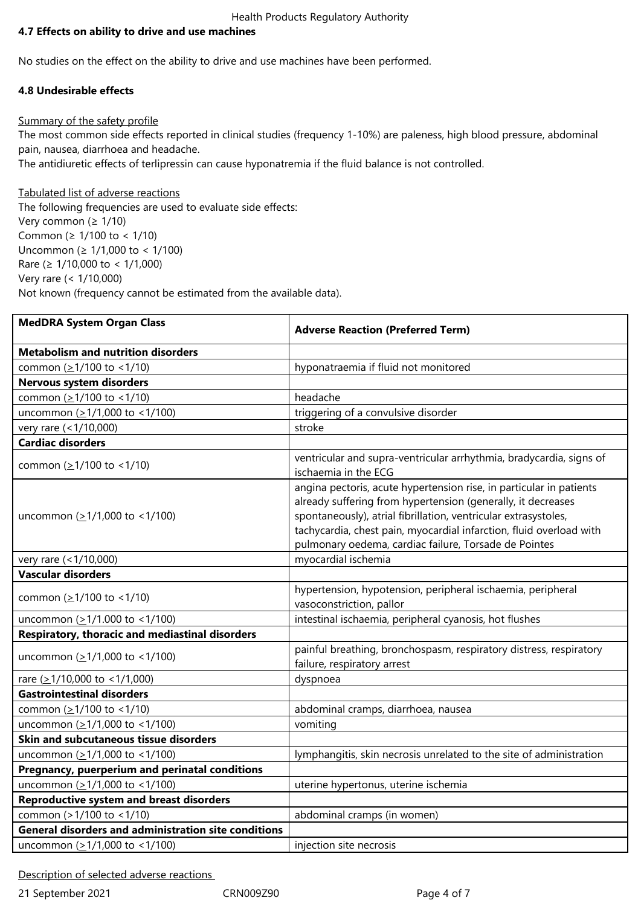# **4.7 Effects on ability to drive and use machines**

No studies on the effect on the ability to drive and use machines have been performed.

# **4.8 Undesirable effects**

# Summary of the safety profile

The most common side effects reported in clinical studies (frequency 1-10%) are paleness, high blood pressure, abdominal pain, nausea, diarrhoea and headache.

The antidiuretic effects of terlipressin can cause hyponatremia if the fluid balance is not controlled.

# Tabulated list of adverse reactions

The following frequencies are used to evaluate side effects: Very common (≥ 1/10) Common (≥ 1/100 to < 1/10) Uncommon (≥ 1/1,000 to < 1/100) Rare (≥ 1/10,000 to < 1/1,000) Very rare (< 1/10,000) Not known (frequency cannot be estimated from the available data).

| <b>MedDRA System Organ Class</b>                            | <b>Adverse Reaction (Preferred Term)</b>                                                                                                                                                                                                                                                                                               |
|-------------------------------------------------------------|----------------------------------------------------------------------------------------------------------------------------------------------------------------------------------------------------------------------------------------------------------------------------------------------------------------------------------------|
| <b>Metabolism and nutrition disorders</b>                   |                                                                                                                                                                                                                                                                                                                                        |
| common (≥1/100 to <1/10)                                    | hyponatraemia if fluid not monitored                                                                                                                                                                                                                                                                                                   |
| Nervous system disorders                                    |                                                                                                                                                                                                                                                                                                                                        |
| common (≥1/100 to <1/10)                                    | headache                                                                                                                                                                                                                                                                                                                               |
| uncommon (≥1/1,000 to <1/100)                               | triggering of a convulsive disorder                                                                                                                                                                                                                                                                                                    |
| very rare (<1/10,000)                                       | stroke                                                                                                                                                                                                                                                                                                                                 |
| <b>Cardiac disorders</b>                                    |                                                                                                                                                                                                                                                                                                                                        |
| common (≥1/100 to <1/10)                                    | ventricular and supra-ventricular arrhythmia, bradycardia, signs of<br>ischaemia in the ECG                                                                                                                                                                                                                                            |
| uncommon $( \geq 1/1,000 \text{ to } < 1/100 )$             | angina pectoris, acute hypertension rise, in particular in patients<br>already suffering from hypertension (generally, it decreases<br>spontaneously), atrial fibrillation, ventricular extrasystoles,<br>tachycardia, chest pain, myocardial infarction, fluid overload with<br>pulmonary oedema, cardiac failure, Torsade de Pointes |
| very rare (<1/10,000)                                       | myocardial ischemia                                                                                                                                                                                                                                                                                                                    |
| <b>Vascular disorders</b>                                   |                                                                                                                                                                                                                                                                                                                                        |
| common (≥1/100 to <1/10)                                    | hypertension, hypotension, peripheral ischaemia, peripheral<br>vasoconstriction, pallor                                                                                                                                                                                                                                                |
| uncommon (>1/1.000 to <1/100)                               | intestinal ischaemia, peripheral cyanosis, hot flushes                                                                                                                                                                                                                                                                                 |
| Respiratory, thoracic and mediastinal disorders             |                                                                                                                                                                                                                                                                                                                                        |
| uncommon $( \geq 1/1,000$ to <1/100)                        | painful breathing, bronchospasm, respiratory distress, respiratory<br>failure, respiratory arrest                                                                                                                                                                                                                                      |
| rare ( $\geq$ 1/10,000 to <1/1,000)                         | dyspnoea                                                                                                                                                                                                                                                                                                                               |
| <b>Gastrointestinal disorders</b>                           |                                                                                                                                                                                                                                                                                                                                        |
| common (≥1/100 to <1/10)                                    | abdominal cramps, diarrhoea, nausea                                                                                                                                                                                                                                                                                                    |
| uncommon (≥1/1,000 to <1/100)                               | vomiting                                                                                                                                                                                                                                                                                                                               |
| Skin and subcutaneous tissue disorders                      |                                                                                                                                                                                                                                                                                                                                        |
| uncommon (≥1/1,000 to <1/100)                               | lymphangitis, skin necrosis unrelated to the site of administration                                                                                                                                                                                                                                                                    |
| Pregnancy, puerperium and perinatal conditions              |                                                                                                                                                                                                                                                                                                                                        |
| uncommon $(21/1,000$ to <1/100)                             | uterine hypertonus, uterine ischemia                                                                                                                                                                                                                                                                                                   |
| <b>Reproductive system and breast disorders</b>             |                                                                                                                                                                                                                                                                                                                                        |
| common (>1/100 to <1/10)                                    | abdominal cramps (in women)                                                                                                                                                                                                                                                                                                            |
| <b>General disorders and administration site conditions</b> |                                                                                                                                                                                                                                                                                                                                        |
| uncommon $( \geq 1/1,000 \text{ to } < 1/100 )$             | injection site necrosis                                                                                                                                                                                                                                                                                                                |

Description of selected adverse reactions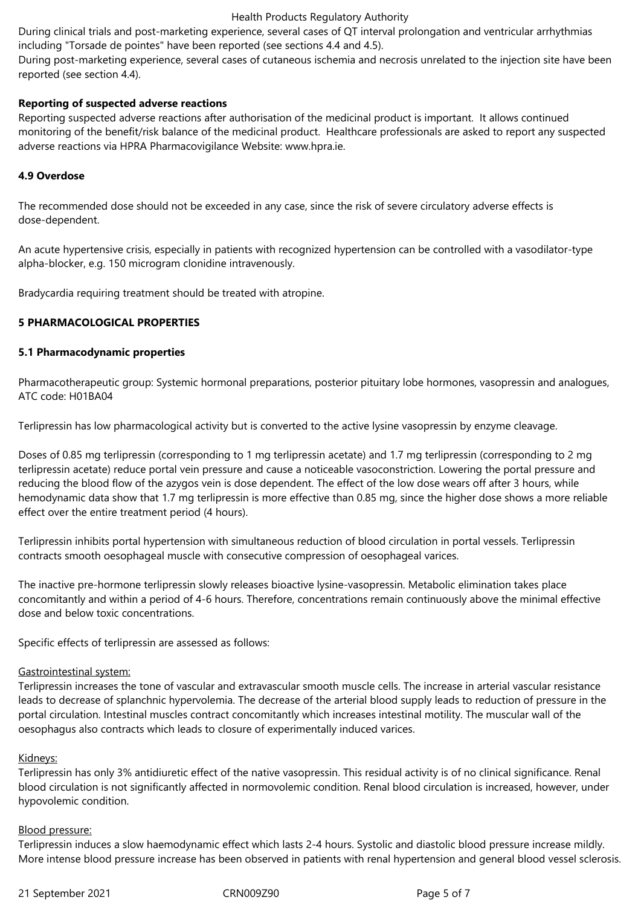During clinical trials and post-marketing experience, several cases of QT interval prolongation and ventricular arrhythmias including "Torsade de pointes" have been reported (see sections 4.4 and 4.5).

During post-marketing experience, several cases of cutaneous ischemia and necrosis unrelated to the injection site have been reported (see section 4.4).

# **Reporting of suspected adverse reactions**

Reporting suspected adverse reactions after authorisation of the medicinal product is important. It allows continued monitoring of the benefit/risk balance of the medicinal product. Healthcare professionals are asked to report any suspected adverse reactions via HPRA Pharmacovigilance Website: www.hpra.ie.

## **4.9 Overdose**

The recommended dose should not be exceeded in any case, since the risk of severe circulatory adverse effects is dose-dependent.

An acute hypertensive crisis, especially in patients with recognized hypertension can be controlled with a vasodilator-type alpha-blocker, e.g. 150 microgram clonidine intravenously.

Bradycardia requiring treatment should be treated with atropine.

## **5 PHARMACOLOGICAL PROPERTIES**

## **5.1 Pharmacodynamic properties**

Pharmacotherapeutic group: Systemic hormonal preparations, posterior pituitary lobe hormones, vasopressin and analogues, ATC code: H01BA04

Terlipressin has low pharmacological activity but is converted to the active lysine vasopressin by enzyme cleavage.

Doses of 0.85 mg terlipressin (corresponding to 1 mg terlipressin acetate) and 1.7 mg terlipressin (corresponding to 2 mg terlipressin acetate) reduce portal vein pressure and cause a noticeable vasoconstriction. Lowering the portal pressure and reducing the blood flow of the azygos vein is dose dependent. The effect of the low dose wears off after 3 hours, while hemodynamic data show that 1.7 mg terlipressin is more effective than 0.85 mg, since the higher dose shows a more reliable effect over the entire treatment period (4 hours).

Terlipressin inhibits portal hypertension with simultaneous reduction of blood circulation in portal vessels. Terlipressin contracts smooth oesophageal muscle with consecutive compression of oesophageal varices.

The inactive pre-hormone terlipressin slowly releases bioactive lysine‑vasopressin. Metabolic elimination takes place concomitantly and within a period of 4‑6 hours. Therefore, concentrations remain continuously above the minimal effective dose and below toxic concentrations.

Specific effects of terlipressin are assessed as follows:

## Gastrointestinal system:

Terlipressin increases the tone of vascular and extravascular smooth muscle cells. The increase in arterial vascular resistance leads to decrease of splanchnic hypervolemia. The decrease of the arterial blood supply leads to reduction of pressure in the portal circulation. Intestinal muscles contract concomitantly which increases intestinal motility. The muscular wall of the oesophagus also contracts which leads to closure of experimentally induced varices.

## Kidneys:

Terlipressin has only 3% antidiuretic effect of the native vasopressin. This residual activity is of no clinical significance. Renal blood circulation is not significantly affected in normovolemic condition. Renal blood circulation is increased, however, under hypovolemic condition.

## Blood pressure:

Terlipressin induces a slow haemodynamic effect which lasts 2‑4 hours. Systolic and diastolic blood pressure increase mildly. More intense blood pressure increase has been observed in patients with renal hypertension and general blood vessel sclerosis.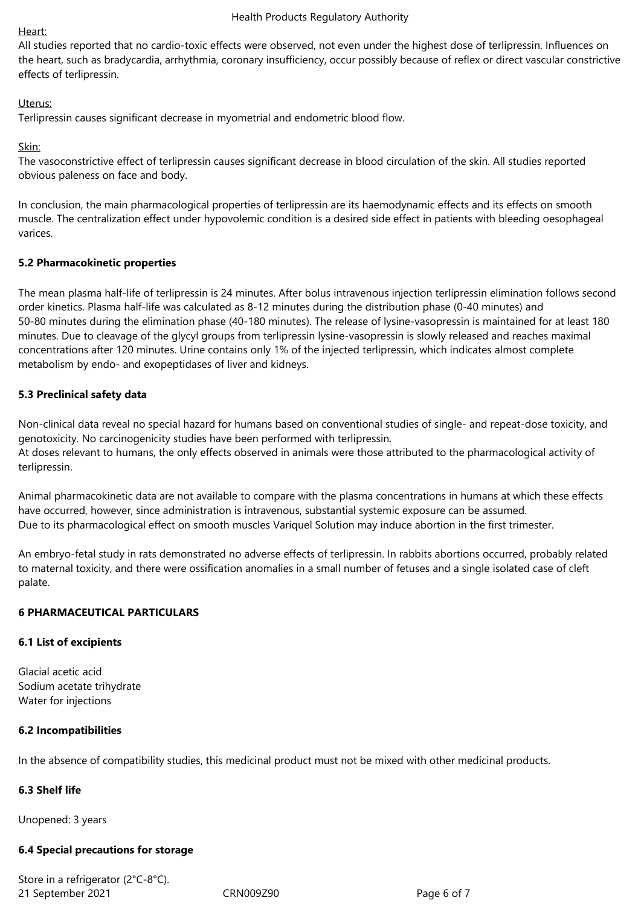## Heart:

All studies reported that no cardio‑toxic effects were observed, not even under the highest dose of terlipressin. Influences on the heart, such as bradycardia, arrhythmia, coronary insufficiency, occur possibly because of reflex or direct vascular constrictive effects of terlipressin.

# Uterus:

Terlipressin causes significant decrease in myometrial and endometric blood flow.

Skin:

The vasoconstrictive effect of terlipressin causes significant decrease in blood circulation of the skin. All studies reported obvious paleness on face and body.

In conclusion, the main pharmacological properties of terlipressin are its haemodynamic effects and its effects on smooth muscle. The centralization effect under hypovolemic condition is a desired side effect in patients with bleeding oesophageal varices.

# **5.2 Pharmacokinetic properties**

The mean plasma half-life of terlipressin is 24 minutes. After bolus intravenous injection terlipressin elimination follows second order kinetics. Plasma half‑life was calculated as 8‑12 minutes during the distribution phase (0‑40 minutes) and 50‑80 minutes during the elimination phase (40‑180 minutes). The release of lysine-vasopressin is maintained for at least 180 minutes. Due to cleavage of the glycyl groups from terlipressin lysine-vasopressin is slowly released and reaches maximal concentrations after 120 minutes. Urine contains only 1% of the injected terlipressin, which indicates almost complete metabolism by endo‑ and exopeptidases of liver and kidneys.

# **5.3 Preclinical safety data**

Non-clinical data reveal no special hazard for humans based on conventional studies of single- and repeat-dose toxicity, and genotoxicity. No carcinogenicity studies have been performed with terlipressin. At doses relevant to humans, the only effects observed in animals were those attributed to the pharmacological activity of terlipressin.

Animal pharmacokinetic data are not available to compare with the plasma concentrations in humans at which these effects have occurred, however, since administration is intravenous, substantial systemic exposure can be assumed. Due to its pharmacological effect on smooth muscles Variquel Solution may induce abortion in the first trimester.

An embryo-fetal study in rats demonstrated no adverse effects of terlipressin. In rabbits abortions occurred, probably related to maternal toxicity, and there were ossification anomalies in a small number of fetuses and a single isolated case of cleft palate.

# **6 PHARMACEUTICAL PARTICULARS**

# **6.1 List of excipients**

Glacial acetic acid Sodium acetate trihydrate Water for injections

# **6.2 Incompatibilities**

In the absence of compatibility studies, this medicinal product must not be mixed with other medicinal products.

# **6.3 Shelf life**

Unopened: 3 years

# **6.4 Special precautions for storage**

21 September 2021 CRN009Z90 Page 6 of 7 Store in a refrigerator (2°C-8°C).